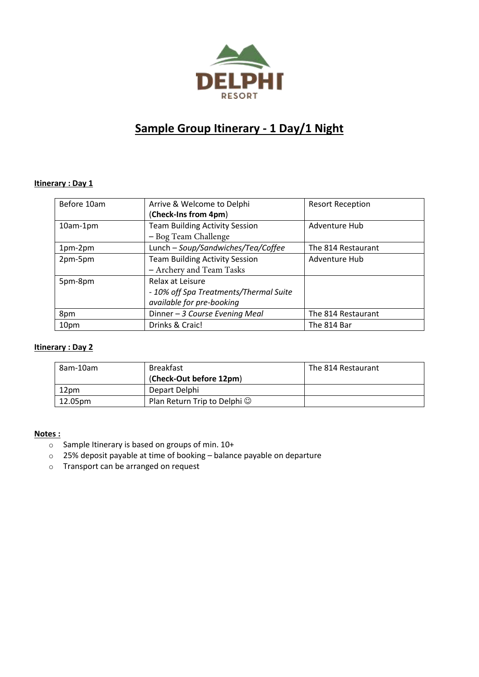

# **Sample Group Itinerary - 1 Day/1 Night**

## **Itinerary : Day 1**

| Before 10am | Arrive & Welcome to Delphi             | <b>Resort Reception</b> |
|-------------|----------------------------------------|-------------------------|
|             | (Check-Ins from 4pm)                   |                         |
| $10am-1pm$  | <b>Team Building Activity Session</b>  | Adventure Hub           |
|             | - Bog Team Challenge                   |                         |
| 1pm-2pm     | Lunch - Soup/Sandwiches/Tea/Coffee     | The 814 Restaurant      |
| 2pm-5pm     | <b>Team Building Activity Session</b>  | Adventure Hub           |
|             | - Archery and Team Tasks               |                         |
| 5pm-8pm     | Relax at Leisure                       |                         |
|             | - 10% off Spa Treatments/Thermal Suite |                         |
|             | available for pre-booking              |                         |
| 8pm         | Dinner - 3 Course Evening Meal         | The 814 Restaurant      |
| 10pm        | Drinks & Craic!                        | The 814 Bar             |

## **Itinerary : Day 2**

| 8am-10am | <b>Breakfast</b>                   | The 814 Restaurant |
|----------|------------------------------------|--------------------|
|          | (Check-Out before 12pm)            |                    |
| 12pm     | Depart Delphi                      |                    |
| 12.05pm  | Plan Return Trip to Delphi $\odot$ |                    |

#### **Notes :**

- o Sample Itinerary is based on groups of min. 10+
- o 25% deposit payable at time of booking balance payable on departure
- o Transport can be arranged on request